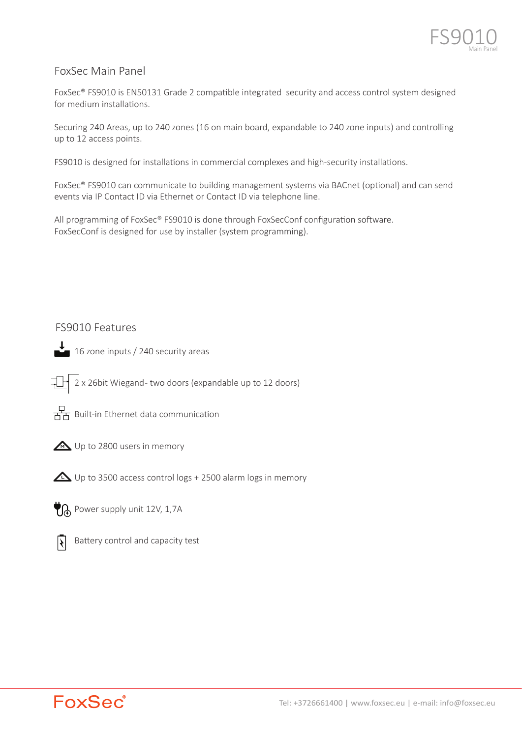

# FoxSec Main Panel

FoxSec® FS9010 is EN50131 Grade 2 compatible integrated security and access control system designed for medium installations.

Securing 240 Areas, up to 240 zones (16 on main board, expandable to 240 zone inputs) and controlling up to 12 access points.

FS9010 is designed for installations in commercial complexes and high-security installations.

FoxSec® FS9010 can communicate to building management systems via BACnet (optional) and can send events via IP Contact ID via Ethernet or Contact ID via telephone line.

All programming of FoxSec® FS9010 is done through FoxSecConf configuration software. FoxSecConf is designed for use by installer (system programming).

# FS9010 Features



 $\downarrow$  16 zone inputs / 240 security areas

 $\Box$  2 x 26bit Wiegand- two doors (expandable up to 12 doors)



 $\frac{D}{\overline{A}}$  Built-in Ethernet data communication



 $\triangle$  Up to 3500 access control logs + 2500 alarm logs in memory

 $\bigtriangledown$  Power supply unit 12V, 1,7A



Battery control and capacity test